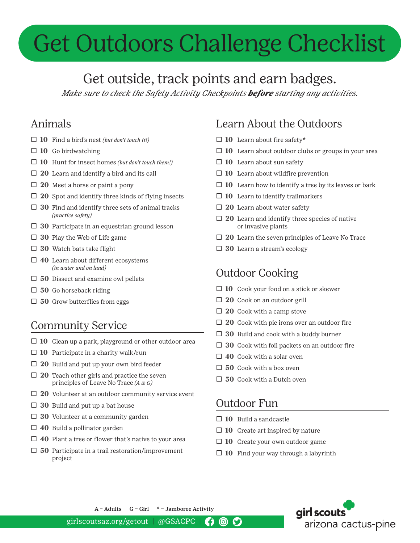# Get Outdoors Challenge Checklist

# Get outside, track points and earn badges.

*Make sure to check the Safety Activity Checkpoints before starting any activities.*

# Animals

- LJ **10** Find a bird's nest *(but don't touch it!)*
- $\Box$  **10** Go birdwatching
- LJ **10** Hunt for insect homes *(but don't touch them!)*
- $\Box$  **20** Learn and identify a bird and its call
- □ 20 Meet a horse or paint a pony
- □ 20 Spot and identify three kinds of flying insects
- $\Box$  **30** Find and identify three sets of animal tracks *(practice safety)*
- □ 30 Participate in an equestrian ground lesson
- $\Box$  **30** Play the Web of Life game
- □ 30 Watch bats take flight
- □ 40 Learn about different ecosystems  *(in water and on land)*
- $\Box$  50 Dissect and examine owl pellets
- □ 50 Go horseback riding
- $\Box$  50 Grow butterflies from eggs

# Community Service

- $\Box$  **10** Clean up a park, playground or other outdoor area
- $\Box$  **10** Participate in a charity walk/run
- □ 20 Build and put up your own bird feeder
- $\Box$  **20** Teach other girls and practice the seven principles of Leave No Trace *(A & G)*
- □ 20 Volunteer at an outdoor community service event
- $\Box$  **30** Build and put up a bat house
- $\Box$  **30** Volunteer at a community garden
- $\Box$  **40** Build a pollinator garden
- $\Box$  **40** Plant a tree or flower that's native to your area
- $\Box$  **50** Participate in a trail restoration/improvement project

# Learn About the Outdoors

- □ 10 Learn about fire safety\*
- □ 10 Learn about outdoor clubs or groups in your area
- □ 10 Learn about sun safety
- $\Box$  **10** Learn about wildfire prevention
- $\Box$  **10** Learn how to identify a tree by its leaves or bark
- $\Box$  **10** Learn to identify trailmarkers
- □ 20 Learn about water safety
- $\Box$  **20** Learn and identify three species of native or invasive plants
- □ 20 Learn the seven principles of Leave No Trace
- □ 30 Learn a stream's ecology

### Outdoor Cooking

- □ 10 Cook your food on a stick or skewer
- □ 20 Cook on an outdoor grill
- $\Box$  **20** Cook with a camp stove
- □ 20 Cook with pie irons over an outdoor fire
- $\Box$  **30** Build and cook with a buddy burner
- $\Box$  **30** Cook with foil packets on an outdoor fire
- □ 40 Cook with a solar oven
- $\Box$  **50** Cook with a box oven
- □ 50 Cook with a Dutch oven

#### Outdoor Fun

- □ 10 Build a sandcastle
- $\Box$  **10** Create art inspired by nature
- □ 10 Create your own outdoor game
- $\Box$  **10** Find your way through a labyrinth



 $A =$  Adults  $G =$  Girl  $*$  = Jamboree Activity

girlscoutsaz.org/getout | @GSACPC |  $\mathbf C$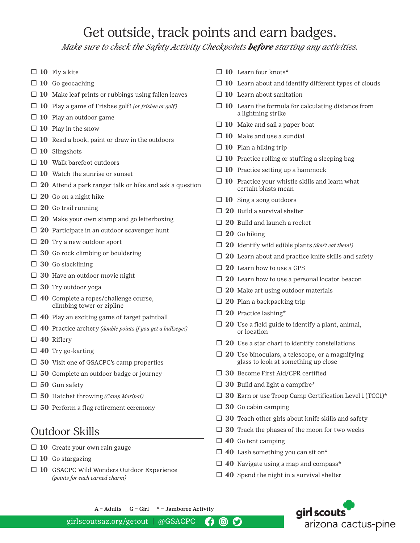# Get outside, track points and earn badges.

*Make sure to check the Safety Activity Checkpoints before starting any activities.*

- $\Box$  **10** Fly a kite
- □ 10 Go geocaching
- $\Box$  **10** Make leaf prints or rubbings using fallen leaves
- LJ **10** Play a game of Frisbee golf! *(or frisbee or golf)*
- □ 10 Play an outdoor game
- $\Box$  **10** Play in the snow
- $\Box$  **10** Read a book, paint or draw in the outdoors
- $\Box$  **10** Slingshots
- □ 10 Walk barefoot outdoors
- □ 10 Watch the sunrise or sunset
- □ 20 Attend a park ranger talk or hike and ask a question
- $\Box$  **20** Go on a night hike
- □ 20 Go trail running
- $\Box$  **20** Make your own stamp and go letterboxing
- □ 20 Participate in an outdoor scavenger hunt
- □ 20 Try a new outdoor sport
- $\Box$  **30** Go rock climbing or bouldering
- LJ **30** Go slacklining
- □ 30 Have an outdoor movie night
- □ 30 Try outdoor yoga
- □ 40 Complete a ropes/challenge course, climbing tower or zipline
- □ 40 Play an exciting game of target paintball
- LJ **40** Practice archery *(double points if you get a bullseye!)*
- LJ **40** Riflery
- LJ **40** Try go-karting
- □ 50 Visit one of GSACPC's camp properties
- □ 50 Complete an outdoor badge or journey
- □ 50 Gun safety
- LJ **50** Hatchet throwing *(Camp Maripai)*
- □ 50 Perform a flag retirement ceremony

#### Outdoor Skills

- □ 10 Create your own rain gauge
- □ 10 Go stargazing
- □ 10 GSACPC Wild Wonders Outdoor Experience *(points for each earned charm)*
- LJ **10** Learn four knots\*
- $\Box$  **10** Learn about and identify different types of clouds
- $\Box$  **10** Learn about sanitation
- $\Box$  **10** Learn the formula for calculating distance from a lightning strike
- □ 10 Make and sail a paper boat
- □ 10 Make and use a sundial
- □ 10 Plan a hiking trip
- $\Box$  **10** Practice rolling or stuffing a sleeping bag
- □ 10 Practice setting up a hammock
- $\Box$  **10** Practice your whistle skills and learn what certain blasts mean
- □ 10 Sing a song outdoors
- □ 20 Build a survival shelter
- □ 20 Build and launch a rocket
- LJ **20** Go hiking
- LJ **20** Identify wild edible plants *(don't eat them!)*
- $\Box$  **20** Learn about and practice knife skills and safety
- □ 20 Learn how to use a GPS
- □ 20 Learn how to use a personal locator beacon
- □ 20 Make art using outdoor materials
- □ 20 Plan a backpacking trip
- LJ **20** Practice lashing\*
- $\Box$  **20** Use a field guide to identify a plant, animal, or location
- $\Box$  **20** Use a star chart to identify constellations
- □ 20 Use binoculars, a telescope, or a magnifying glass to look at something up close
- LJ **30** Become First Aid/CPR certified
- $\Box$  **30** Build and light a campfire\*
- □ 30 Earn or use Troop Camp Certification Level 1 (TCC1)\*
- $\Box$  **30** Go cabin camping
- □ 30 Teach other girls about knife skills and safety
- □ 30 Track the phases of the moon for two weeks
- LJ **40** Go tent camping
- LJ **40** Lash something you can sit on\*
- □ 40 Navigate using a map and compass\*
- $\Box$  **40** Spend the night in a survival shelter



 $A =$  Adults  $G =$  Girl  $*$  = Jamboree Activity

girlscoutsaz.org/getout | @GSACPC |  $\mathbf C$ 0